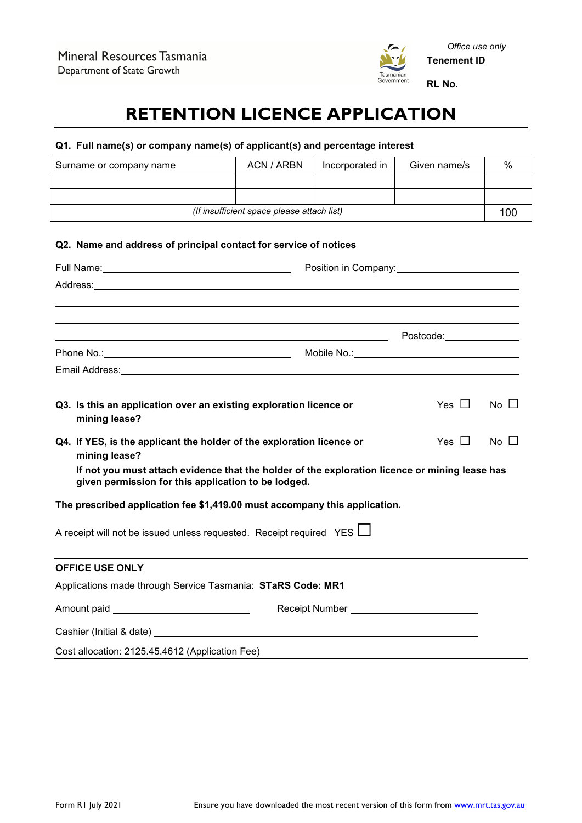

# **RETENTION LICENCE APPLICATION**

# **Q1. Full name(s) or company name(s) of applicant(s) and percentage interest**

| Surname or company name                                                                                                                               | <b>ACN / ARBN</b>                          | Incorporated in | Given name/s                   | %           |
|-------------------------------------------------------------------------------------------------------------------------------------------------------|--------------------------------------------|-----------------|--------------------------------|-------------|
|                                                                                                                                                       |                                            |                 |                                |             |
|                                                                                                                                                       | (If insufficient space please attach list) |                 |                                | 100         |
|                                                                                                                                                       |                                            |                 |                                |             |
| Q2. Name and address of principal contact for service of notices                                                                                      |                                            |                 |                                |             |
|                                                                                                                                                       |                                            |                 | Position in Company: 1990 1991 |             |
|                                                                                                                                                       |                                            |                 |                                |             |
|                                                                                                                                                       |                                            |                 |                                |             |
|                                                                                                                                                       |                                            |                 |                                |             |
| <u> 1989 - Johann Stoff, amerikansk politiker (* 1908)</u>                                                                                            |                                            |                 | Postcode: 2000                 |             |
|                                                                                                                                                       |                                            |                 |                                |             |
|                                                                                                                                                       |                                            |                 |                                |             |
|                                                                                                                                                       |                                            |                 |                                |             |
| Q3. Is this an application over an existing exploration licence or<br>mining lease?                                                                   |                                            |                 | Yes ∐                          | $No$ $\Box$ |
| Yes $\Box$<br>Q4. If YES, is the applicant the holder of the exploration licence or<br>mining lease?                                                  |                                            |                 | $No \Box$                      |             |
| If not you must attach evidence that the holder of the exploration licence or mining lease has<br>given permission for this application to be lodged. |                                            |                 |                                |             |
| The prescribed application fee \$1,419.00 must accompany this application.                                                                            |                                            |                 |                                |             |
| A receipt will not be issued unless requested. Receipt required YES L                                                                                 |                                            |                 |                                |             |
| <b>OFFICE USE ONLY</b>                                                                                                                                |                                            |                 |                                |             |
| Applications made through Service Tasmania: STaRS Code: MR1                                                                                           |                                            |                 |                                |             |
| Amount paid __________________________________                                                                                                        |                                            |                 |                                |             |
| Cashier (Initial & date) Cashier (Initial & date)                                                                                                     |                                            |                 |                                |             |
| Cost allocation: 2125.45.4612 (Application Fee)                                                                                                       |                                            |                 |                                |             |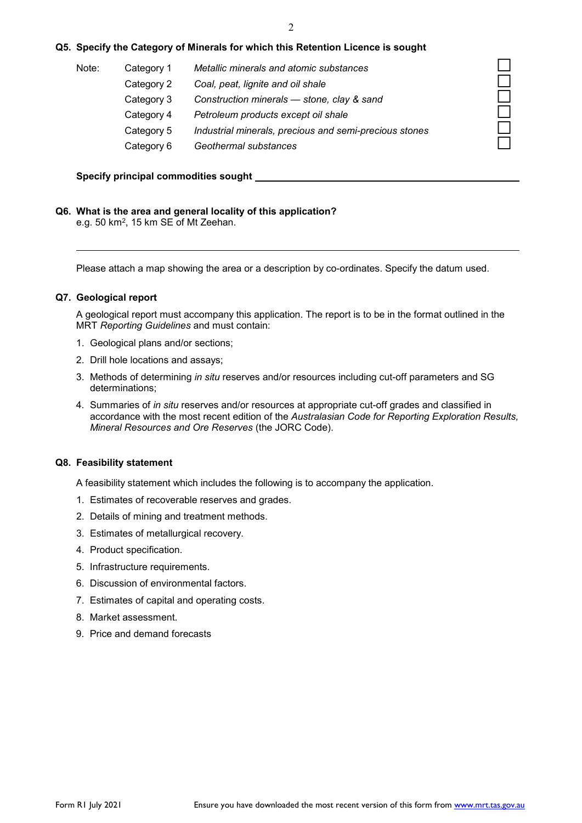### **Q5. Specify the Category of Minerals for which this Retention Licence is sought**

| Note: | Category 1 | Metallic minerals and atomic substances                |  |
|-------|------------|--------------------------------------------------------|--|
|       | Category 2 | Coal, peat, lignite and oil shale                      |  |
|       | Category 3 | Construction minerals - stone, clay & sand             |  |
|       | Category 4 | Petroleum products except oil shale                    |  |
|       | Category 5 | Industrial minerals, precious and semi-precious stones |  |
|       | Category 6 | Geothermal substances                                  |  |
|       |            |                                                        |  |

#### **Specify principal commodities sought**

#### **Q6. What is the area and general locality of this application?**

e.g. 50 km2, 15 km SE of Mt Zeehan.

Please attach a map showing the area or a description by co-ordinates. Specify the datum used.

#### **Q7. Geological report**

A geological report must accompany this application. The report is to be in the format outlined in the MRT *Reporting Guidelines* and must contain:

- 1. Geological plans and/or sections;
- 2. Drill hole locations and assays;
- 3. Methods of determining *in situ* reserves and/or resources including cut-off parameters and SG determinations;
- 4. Summaries of *in situ* reserves and/or resources at appropriate cut-off grades and classified in accordance with the most recent edition of the *Australasian Code for Reporting Exploration Results, Mineral Resources and Ore Reserves* (the JORC Code).

#### **Q8. Feasibility statement**

A feasibility statement which includes the following is to accompany the application.

- 1. Estimates of recoverable reserves and grades.
- 2. Details of mining and treatment methods.
- 3. Estimates of metallurgical recovery.
- 4. Product specification.
- 5. Infrastructure requirements.
- 6. Discussion of environmental factors.
- 7. Estimates of capital and operating costs.
- 8. Market assessment.
- 9. Price and demand forecasts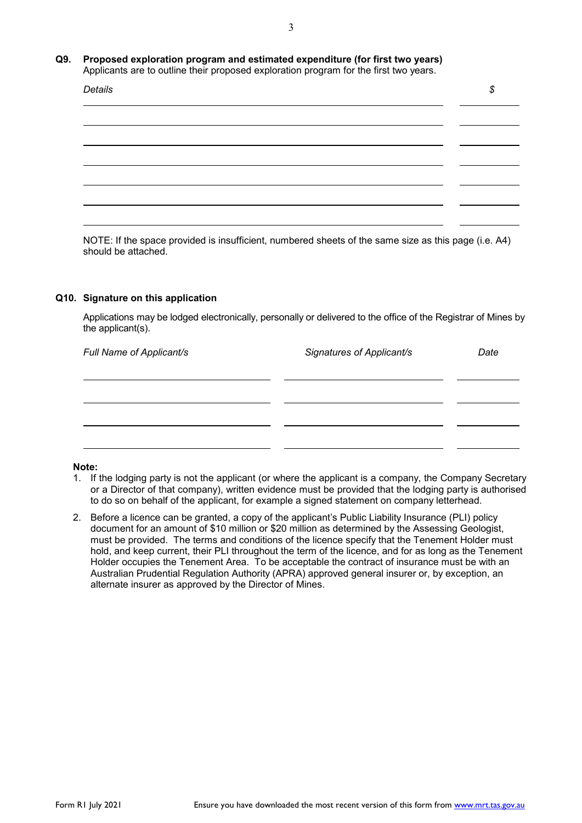#### **Q9. Proposed exploration program and estimated expenditure (for first two years)** Applicants are to outline their proposed exploration program for the first two years.

| Details |  |
|---------|--|
|         |  |
|         |  |
|         |  |
|         |  |
|         |  |
|         |  |

NOTE: If the space provided is insufficient, numbered sheets of the same size as this page (i.e. A4) should be attached.

#### **Q10. Signature on this application**

Applications may be lodged electronically, personally or delivered to the office of the Registrar of Mines by the applicant(s).

| Full Name of Applicant/s | Signatures of Applicant/s | Date |
|--------------------------|---------------------------|------|
|                          |                           |      |
|                          |                           |      |
|                          |                           |      |
|                          |                           |      |

## **Note:**

- 1. If the lodging party is not the applicant (or where the applicant is a company, the Company Secretary or a Director of that company), written evidence must be provided that the lodging party is authorised to do so on behalf of the applicant, for example a signed statement on company letterhead.
- 2. Before a licence can be granted, a copy of the applicant's Public Liability Insurance (PLI) policy document for an amount of \$10 million or \$20 million as determined by the Assessing Geologist, must be provided. The terms and conditions of the licence specify that the Tenement Holder must hold, and keep current, their PLI throughout the term of the licence, and for as long as the Tenement Holder occupies the Tenement Area. To be acceptable the contract of insurance must be with an Australian Prudential Regulation Authority (APRA) approved general insurer or, by exception, an alternate insurer as approved by the Director of Mines.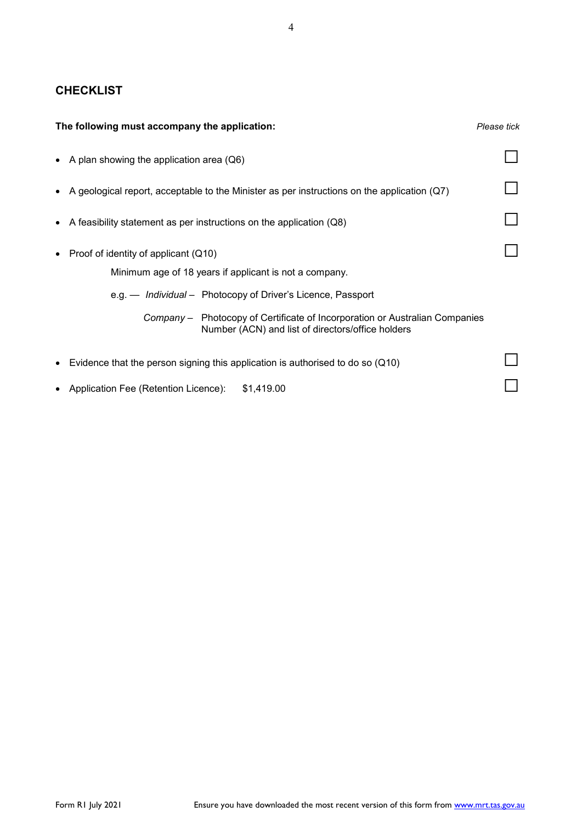# **CHECKLIST**

| The following must accompany the application:                                                                                    | Please tick |
|----------------------------------------------------------------------------------------------------------------------------------|-------------|
| • A plan showing the application area $(Q6)$                                                                                     |             |
| • A geological report, acceptable to the Minister as per instructions on the application $(Q7)$                                  |             |
| • A feasibility statement as per instructions on the application $(Q8)$                                                          |             |
| • Proof of identity of applicant $(Q10)$                                                                                         |             |
| Minimum age of 18 years if applicant is not a company.                                                                           |             |
| e.g. — Individual - Photocopy of Driver's Licence, Passport                                                                      |             |
| Company – Photocopy of Certificate of Incorporation or Australian Companies<br>Number (ACN) and list of directors/office holders |             |
| Evidence that the person signing this application is authorised to do so $(Q10)$<br>$\bullet$                                    |             |
| • Application Fee (Retention Licence):<br>\$1,419.00                                                                             |             |